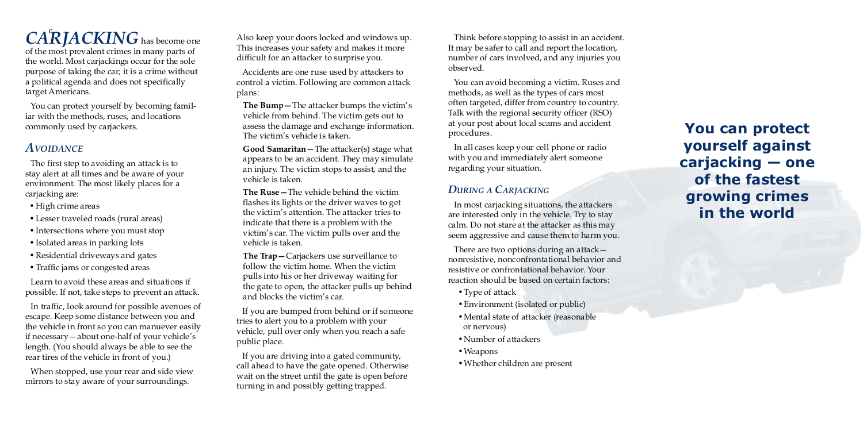## <sup>c</sup>*CARJACKING* has become one

of the most prevalent crimes in many parts of the world. Most carjackings occur for the sole purpose of taking the car; it is a crime without a political agenda and does not specifically target Americans.

You can protect yourself by becoming familiar with the methods, ruses, and locations commonly used by carjackers.

## *AVOIDANCE*

The first step to avoiding an attack is to stay alert at all times and be aware of your environment. The most likely places for a carjacking are:

- High crime areas
- Lesser traveled roads (rural areas)
- Intersections where you must stop
- Isolated areas in parking lots
- Residential driveways and gates
- Traffic jams or congested areas

Learn to avoid these areas and situations if possible. If not, take steps to prevent an attack.

In traffic, look around for possible avenues of escape. Keep some distance between you and the vehicle in front so you can manuever easily if necessary—about one-half of your vehicle's length. (You should always be able to see the rear tires of the vehicle in front of you.)

When stopped, use your rear and side view mirrors to stay aware of your surroundings.

Also keep your doors locked and windows up. This increases your safety and makes it more difficult for an attacker to surprise you.

Accidents are one ruse used by attackers to control a victim. Following are common attack plans:

**The Bump—**The attacker bumps the victim's vehicle from behind. The victim gets out to assess the damage and exchange information. The victim's vehicle is taken.

**Good Samaritan**—The attacker(s) stage what appears to be an accident. They may simulate an injury. The victim stops to assist, and the vehicle is taken.

**The Ruse—**The vehicle behind the victim flashes its lights or the driver waves to get the victim's attention. The attacker tries to indicate that there is a problem with the victim's car. The victim pulls over and the vehicle is taken.

**The Trap—**Carjackers use surveillance to follow the victim home. When the victim pulls into his or her driveway waiting for the gate to open, the attacker pulls up behind and blocks the victim's car.

If you are bumped from behind or if someone tries to alert you to a problem with your vehicle, pull over only when you reach a safe public place.

If you are driving into a gated community, call ahead to have the gate opened. Otherwise wait on the street until the gate is open before turning in and possibly getting trapped.

Think before stopping to assist in an accident. It may be safer to call and report the location, number of cars involved, and any injuries you observed.

You can avoid becoming a victim. Ruses and methods, as well as the types of cars most often targeted, differ from country to country. Talk with the regional security officer (RSO) at your post about local scams and accident procedures.

In all cases keep your cell phone or radio with you and immediately alert someone regarding your situation.

### *DURING A CARJACKING*

In most carjacking situations, the attackers are interested only in the vehicle. Try to stay calm. Do not stare at the attacker as this may seem aggressive and cause them to harm you.

There are two options during an attack nonresistive, nonconfrontational behavior and resistive or confrontational behavior. Your reaction should be based on certain factors:

- •Type of attack
- •Environment (isolated or public)
- •Mental state of attacker (reasonable or nervous)
- •Number of attackers
- •Weapons
- •Whether children are present

**You can protect yourself against carjacking — one of the fastest growing crimes in the world**